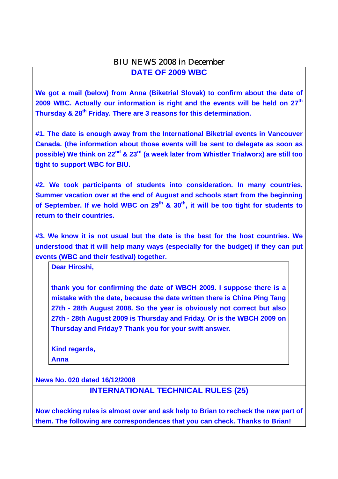### BIU NEWS 2008 in December

**DATE OF 2009 WBC** 

**We got a mail (below) from Anna (Biketrial Slovak) to confirm about the date of 2009 WBC. Actually our information is right and the events will be held on 27th Thursday & 28th Friday. There are 3 reasons for this determination.** 

**#1. The date is enough away from the International Biketrial events in Vancouver Canada. (the information about those events will be sent to delegate as soon as possible) We think on 22nd & 23rd (a week later from Whistler Trialworx) are still too tight to support WBC for BIU.** 

**#2. We took participants of students into consideration. In many countries, Summer vacation over at the end of August and schools start from the beginning**  of September. If we hold WBC on 29<sup>th</sup> & 30<sup>th</sup>, it will be too tight for students to **return to their countries.** 

**#3. We know it is not usual but the date is the best for the host countries. We understood that it will help many ways (especially for the budget) if they can put events (WBC and their festival) together.** 

**Dear Hiroshi,** 

**thank you for confirming the date of WBCH 2009. I suppose there is a mistake with the date, because the date written there is China Ping Tang 27th - 28th August 2008. So the year is obviously not correct but also 27th - 28th August 2009 is Thursday and Friday. Or is the WBCH 2009 on Thursday and Friday? Thank you for your swift answer.** 

**Kind regards, Anna** 

**News No. 020 dated 16/12/2008**

**INTERNATIONAL TECHNICAL RULES (25)** 

**Now checking rules is almost over and ask help to Brian to recheck the new part of them. The following are correspondences that you can check. Thanks to Brian!**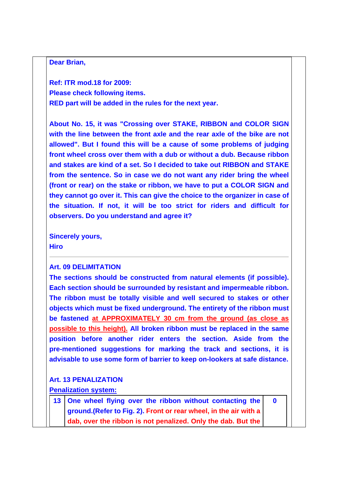#### **Dear Brian,**

**Ref: ITR mod.18 for 2009: Please check following items. RED part will be added in the rules for the next year.** 

**About No. 15, it was "Crossing over STAKE, RIBBON and COLOR SIGN with the line between the front axle and the rear axle of the bike are not allowed". But I found this will be a cause of some problems of judging front wheel cross over them with a dub or without a dub. Because ribbon and stakes are kind of a set. So I decided to take out RIBBON and STAKE from the sentence. So in case we do not want any rider bring the wheel (front or rear) on the stake or ribbon, we have to put a COLOR SIGN and they cannot go over it. This can give the choice to the organizer in case of the situation. If not, it will be too strict for riders and difficult for observers. Do you understand and agree it?** 

**Sincerely yours, Hiro** 

#### **Art. 09 DELIMITATION**

**The sections should be constructed from natural elements (if possible). Each section should be surrounded by resistant and impermeable ribbon. The ribbon must be totally visible and well secured to stakes or other objects which must be fixed underground. The entirety of the ribbon must be fastened at APPROXIMATELY 30 cm from the ground (as close as possible to this height). All broken ribbon must be replaced in the same position before another rider enters the section. Aside from the pre-mentioned suggestions for marking the track and sections, it is advisable to use some form of barrier to keep on-lookers at safe distance.**

#### **Art. 13 PENALIZATION**

#### **Penalization system:**

| 13 One wheel flying over the ribbon without contacting the        |  |
|-------------------------------------------------------------------|--|
| ground. (Refer to Fig. 2). Front or rear wheel, in the air with a |  |
| dab, over the ribbon is not penalized. Only the dab. But the      |  |

**0**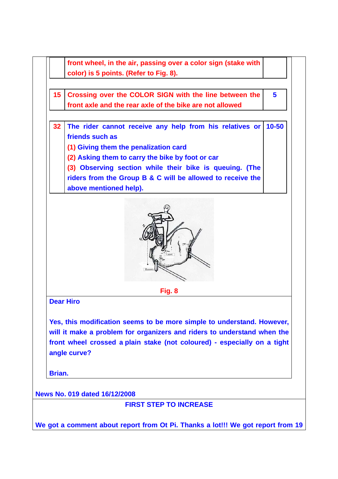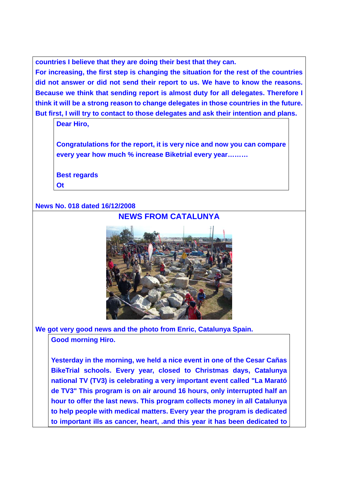**countries I believe that they are doing their best that they can.** 

**For increasing, the first step is changing the situation for the rest of the countries did not answer or did not send their report to us. We have to know the reasons. Because we think that sending report is almost duty for all delegates. Therefore I think it will be a strong reason to change delegates in those countries in the future. But first, I will try to contact to those delegates and ask their intention and plans.** 

**Dear Hiro,** 

**Congratulations for the report, it is very nice and now you can compare every year how much % increase Biketrial every year………** 

**Best regards Ot** 

### **News No. 018 dated 16/12/2008**



**We got very good news and the photo from Enric, Catalunya Spain. Good morning Hiro.** 

**Yesterday in the morning, we held a nice event in one of the Cesar Cañas BikeTrial schools. Every year, closed to Christmas days, Catalunya national TV (TV3) is celebrating a very important event called "La Marató de TV3" This program is on air around 16 hours, only interrupted half an hour to offer the last news. This program collects money in all Catalunya to help people with medical matters. Every year the program is dedicated to important ills as cancer, heart, .and this year it has been dedicated to**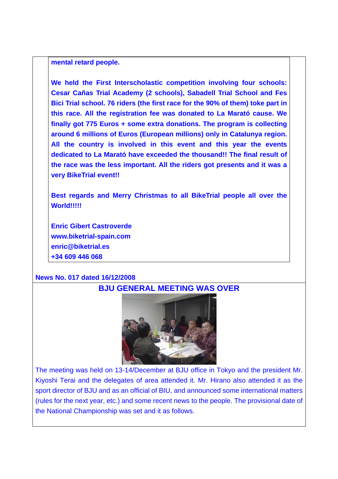#### **mental retard people.**

**We held the First Interscholastic competition involving four schools: Cesar Cañas Trial Academy (2 schools), Sabadell Trial School and Fes Bici Trial school. 76 riders (the first race for the 90% of them) toke part in this race. All the registration fee was donated to La Marató cause. We finally got 775 Euros + some extra donations. The program is collecting around 6 millions of Euros (European millions) only in Catalunya region. All the country is involved in this event and this year the events dedicated to La Marató have exceeded the thousand!! The final result of the race was the less important. All the riders got presents and it was a very BikeTrial event!!** 

**Best regards and Merry Christmas to all BikeTrial people all over the World!!!!!** 

**Enric Gibert Castroverde www.biketrial-spain.com enric@biketrial.es +34 609 446 068** 

#### **News No. 017 dated 16/12/2008**



The meeting was held on 13-14/December at BJU office in Tokyo and the president Mr. Kiyoshi Terai and the delegates of area attended it. Mr. Hirano also attended it as the sport director of BJU and as an official of BIU, and announced some international matters (rules for the next year, etc.) and some recent news to the people. The provisional date of the National Championship was set and it as follows.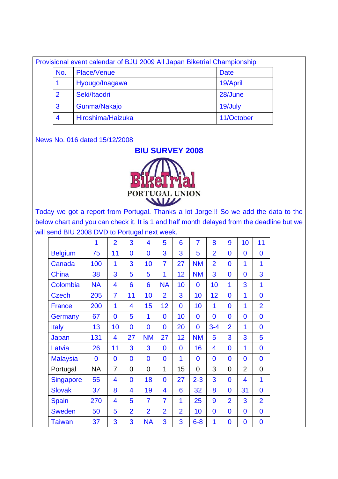|                | Provisional event calendar of BJU 2009 All Japan Biketrial Championship |             |  |
|----------------|-------------------------------------------------------------------------|-------------|--|
| No.            | Place/Venue                                                             | <b>Date</b> |  |
|                | Hyougo/Inagawa                                                          | 19/April    |  |
| $\overline{2}$ | Seki/Itaodri                                                            | 28/June     |  |
| 3              | Gunma/Nakajo                                                            | 19/July     |  |
| 4              | Hiroshima/Haizuka                                                       | 11/October  |  |

#### News No. 016 dated 15/12/2008

# **BIU SURVEY 2008**



Today we got a report from Portugal. Thanks a lot Jorge!!! So we add the data to the below chart and you can check it. It is 1 and half month delayed from the deadline but we will send BIU 2008 DVD to Portugal next week.

|                  | 1            | $\overline{2}$          | 3              | 4              | 5              | 6              | $\overline{7}$ | 8              | 9              | 10             | 11             |
|------------------|--------------|-------------------------|----------------|----------------|----------------|----------------|----------------|----------------|----------------|----------------|----------------|
| <b>Belgium</b>   | 75           | 11                      | $\overline{0}$ | $\overline{0}$ | 3              | 3              | 5              | $\overline{2}$ | $\overline{0}$ | $\overline{0}$ | $\overline{0}$ |
| Canada           | 100          | 1                       | 3              | 10             | $\overline{7}$ | 27             | <b>NM</b>      | $\overline{2}$ | $\bf{0}$       | 1              | 1              |
| China            | 38           | 3                       | 5              | 5              | 1              | 12             | <b>NM</b>      | 3              | $\overline{0}$ | $\overline{0}$ | 3              |
| Colombia         | <b>NA</b>    | 4                       | 6              | 6              | <b>NA</b>      | 10             | 0              | 10             | 1              | 3              | 1              |
| <b>Czech</b>     | 205          | $\overline{7}$          | 11             | 10             | $\overline{2}$ | 3              | 10             | 12             | $\overline{0}$ | 1              | $\overline{0}$ |
| <b>France</b>    | 200          | 1                       | 4              | 15             | 12             | $\overline{0}$ | 10             | 1              | $\overline{0}$ | 1              | $\overline{2}$ |
| Germany          | 67           | $\overline{0}$          | 5              | 1              | $\mathbf{0}$   | 10             | 0              | $\overline{0}$ | $\overline{0}$ | $\overline{0}$ | $\overline{0}$ |
| <b>Italy</b>     | 13           | 10                      | 0              | $\overline{0}$ | $\mathbf{0}$   | 20             | 0              | $3 - 4$        | $\overline{2}$ | 1              | 0              |
| Japan            | 131          | 4                       | 27             | <b>NM</b>      | 27             | 12             | <b>NM</b>      | 5              | 3              | 3              | 5              |
| Latvia           | 26           | 11                      | 3              | 3              | $\mathbf{0}$   | $\overline{0}$ | 16             | 4              | $\overline{0}$ | 1              | $\overline{0}$ |
| <b>Malaysia</b>  | $\mathbf{0}$ | $\overline{0}$          | $\overline{0}$ | $\overline{0}$ | $\overline{0}$ | 1              | $\mathbf{0}$   | $\overline{0}$ | $\overline{0}$ | $\overline{0}$ | $\overline{0}$ |
| Portugal         | <b>NA</b>    | $\overline{7}$          | $\overline{0}$ | 0              | 1              | 15             | 0              | 3              | $\overline{0}$ | $\overline{2}$ | 0              |
| <b>Singapore</b> | 55           | 4                       | $\overline{0}$ | 18             | $\overline{0}$ | 27             | $2 - 3$        | 3              | $\overline{0}$ | 4              | 1              |
| <b>Slovak</b>    | 37           | 8                       | 4              | 19             | 4              | 6              | 32             | 8              | $\overline{0}$ | 31             | $\overline{0}$ |
| <b>Spain</b>     | 270          | $\overline{\mathbf{4}}$ | 5              | $\overline{7}$ | $\overline{7}$ | 1              | 25             | 9              | $\overline{2}$ | 3              | $\overline{2}$ |
| <b>Sweden</b>    | 50           | 5                       | $\overline{2}$ | $\overline{2}$ | $\overline{2}$ | $\overline{2}$ | 10             | $\overline{0}$ | $\overline{0}$ | $\overline{0}$ | $\overline{0}$ |
| <b>Taiwan</b>    | 37           | 3                       | 3              | <b>NA</b>      | 3              | 3              | $6 - 8$        | 1              | $\bf{0}$       | $\bf{0}$       | $\overline{0}$ |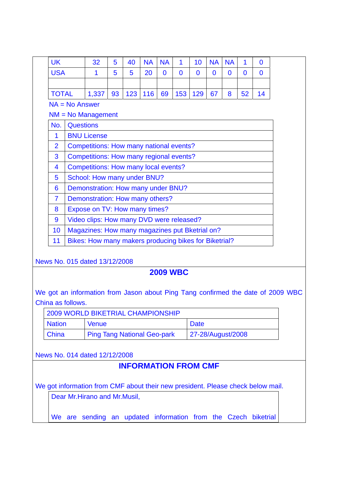| <b>UK</b>                                                                       |                                                                      | 32                                                                              | 5 | 40                          | <b>NA</b> | <b>NA</b>      | 1            | 10                | <b>NA</b>      | <b>NA</b> | 1        | $\bf{0}$     |  |  |
|---------------------------------------------------------------------------------|----------------------------------------------------------------------|---------------------------------------------------------------------------------|---|-----------------------------|-----------|----------------|--------------|-------------------|----------------|-----------|----------|--------------|--|--|
| <b>USA</b>                                                                      |                                                                      | 1                                                                               | 5 | 5                           | 20        | $\overline{0}$ | $\mathbf{0}$ | $\bf{0}$          | $\overline{0}$ | $\bf{0}$  | $\bf{0}$ | $\mathbf{0}$ |  |  |
|                                                                                 |                                                                      |                                                                                 |   |                             |           |                |              |                   |                |           |          |              |  |  |
| <b>TOTAL</b>                                                                    | 123<br>116<br>69<br>153<br>129<br>67<br>1,337<br>93<br>8<br>52<br>14 |                                                                                 |   |                             |           |                |              |                   |                |           |          |              |  |  |
|                                                                                 |                                                                      | $NA = No$ Answer                                                                |   |                             |           |                |              |                   |                |           |          |              |  |  |
|                                                                                 | $NM = No$ Management                                                 |                                                                                 |   |                             |           |                |              |                   |                |           |          |              |  |  |
| No.                                                                             | <b>Questions</b>                                                     |                                                                                 |   |                             |           |                |              |                   |                |           |          |              |  |  |
| 1                                                                               |                                                                      | <b>BNU License</b>                                                              |   |                             |           |                |              |                   |                |           |          |              |  |  |
| $\overline{2}$                                                                  |                                                                      | Competitions: How many national events?                                         |   |                             |           |                |              |                   |                |           |          |              |  |  |
| 3                                                                               |                                                                      | Competitions: How many regional events?                                         |   |                             |           |                |              |                   |                |           |          |              |  |  |
| 4                                                                               |                                                                      | <b>Competitions: How many local events?</b>                                     |   |                             |           |                |              |                   |                |           |          |              |  |  |
| 5                                                                               |                                                                      | School: How many under BNU?                                                     |   |                             |           |                |              |                   |                |           |          |              |  |  |
| Demonstration: How many under BNU?<br>$6\phantom{1}6$                           |                                                                      |                                                                                 |   |                             |           |                |              |                   |                |           |          |              |  |  |
| Demonstration: How many others?<br>7                                            |                                                                      |                                                                                 |   |                             |           |                |              |                   |                |           |          |              |  |  |
| 8                                                                               |                                                                      | Expose on TV: How many times?                                                   |   |                             |           |                |              |                   |                |           |          |              |  |  |
| 9                                                                               |                                                                      | Video clips: How many DVD were released?                                        |   |                             |           |                |              |                   |                |           |          |              |  |  |
| 10                                                                              |                                                                      | Magazines: How many magazines put Bketrial on?                                  |   |                             |           |                |              |                   |                |           |          |              |  |  |
| 11                                                                              |                                                                      | Bikes: How many makers producing bikes for Biketrial?                           |   |                             |           |                |              |                   |                |           |          |              |  |  |
|                                                                                 |                                                                      |                                                                                 |   |                             |           |                |              |                   |                |           |          |              |  |  |
|                                                                                 |                                                                      | News No. 015 dated 13/12/2008                                                   |   |                             |           |                |              |                   |                |           |          |              |  |  |
| <b>2009 WBC</b>                                                                 |                                                                      |                                                                                 |   |                             |           |                |              |                   |                |           |          |              |  |  |
|                                                                                 |                                                                      |                                                                                 |   |                             |           |                |              |                   |                |           |          |              |  |  |
| We got an information from Jason about Ping Tang confirmed the date of 2009 WBC |                                                                      |                                                                                 |   |                             |           |                |              |                   |                |           |          |              |  |  |
|                                                                                 | China as follows.                                                    |                                                                                 |   |                             |           |                |              |                   |                |           |          |              |  |  |
|                                                                                 |                                                                      | <b>2009 WORLD BIKETRIAL CHAMPIONSHIP</b>                                        |   |                             |           |                |              |                   |                |           |          |              |  |  |
| <b>Nation</b>                                                                   |                                                                      | <b>Venue</b>                                                                    |   |                             |           |                |              | <b>Date</b>       |                |           |          |              |  |  |
| China                                                                           |                                                                      | <b>Ping Tang National Geo-park</b>                                              |   |                             |           |                |              | 27-28/August/2008 |                |           |          |              |  |  |
|                                                                                 |                                                                      | News No. 014 dated 12/12/2008                                                   |   |                             |           |                |              |                   |                |           |          |              |  |  |
|                                                                                 |                                                                      |                                                                                 |   | <b>INFORMATION FROM CMF</b> |           |                |              |                   |                |           |          |              |  |  |
|                                                                                 |                                                                      |                                                                                 |   |                             |           |                |              |                   |                |           |          |              |  |  |
|                                                                                 |                                                                      | We got information from CMF about their new president. Please check below mail. |   |                             |           |                |              |                   |                |           |          |              |  |  |

Dear Mr.Hirano and Mr.Musil,

We are sending an updated information from the Czech biketrial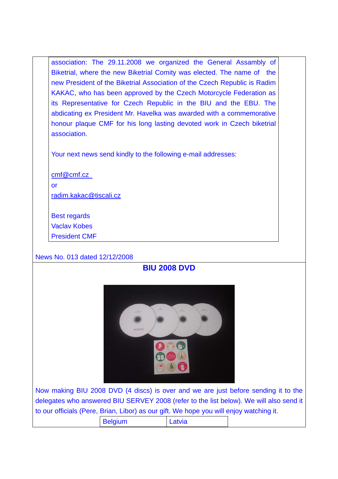association: The 29.11.2008 we organized the General Assambly of Biketrial, where the new Biketrial Comity was elected. The name of the new President of the Biketrial Association of the Czech Republic is Radim KAKAC, who has been approved by the Czech Motorcycle Federation as its Representative for Czech Republic in the BIU and the EBU. The abdicating ex President Mr. Havelka was awarded with a commemorative honour plaque CMF for his long lasting devoted work in Czech biketrial association.

Your next news send kindly to the following e-mail addresses:

cmf@cmf.cz or radim.kakac@tiscali.cz

Best regards Vaclav Kobes President CMF

News No. 013 dated 12/12/2008





Now making BIU 2008 DVD (4 discs) is over and we are just before sending it to the delegates who answered BIU SERVEY 2008 (refer to the list below). We will also send it to our officials (Pere, Brian, Libor) as our gift. We hope you will enjoy watching it.

| <b>Belgium</b> | . atvia<br>-uww |  |
|----------------|-----------------|--|
|                |                 |  |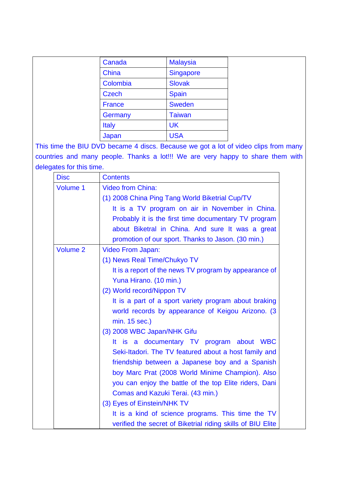| Canada        | <b>Malaysia</b>  |
|---------------|------------------|
| China         | <b>Singapore</b> |
| Colombia      | <b>Slovak</b>    |
| <b>Czech</b>  | <b>Spain</b>     |
| <b>France</b> | <b>Sweden</b>    |
| Germany       | <b>Taiwan</b>    |
| <b>Italy</b>  | <b>UK</b>        |
| Japan         | <b>USA</b>       |

This time the BIU DVD became 4 discs. Because we got a lot of video clips from many countries and many people. Thanks a lot!!! We are very happy to share them with delegates for this time.

| <b>Disc</b> | <b>Contents</b>                                             |
|-------------|-------------------------------------------------------------|
| Volume 1    | <b>Video from China:</b>                                    |
|             | (1) 2008 China Ping Tang World Biketrial Cup/TV             |
|             | It is a TV program on air in November in China.             |
|             | Probably it is the first time documentary TV program        |
|             | about Biketral in China. And sure It was a great            |
|             | promotion of our sport. Thanks to Jason. (30 min.)          |
| Volume 2    | <b>Video From Japan:</b>                                    |
|             | (1) News Real Time/Chukyo TV                                |
|             | It is a report of the news TV program by appearance of      |
|             | Yuna Hirano. (10 min.)                                      |
|             | (2) World record/Nippon TV                                  |
|             | It is a part of a sport variety program about braking       |
|             | world records by appearance of Keigou Arizono. (3)          |
|             | min. 15 sec.)                                               |
|             | (3) 2008 WBC Japan/NHK Gifu                                 |
|             | It is a documentary TV program about WBC                    |
|             | Seki-Itadori. The TV featured about a host family and       |
|             | friendship between a Japanese boy and a Spanish             |
|             | boy Marc Prat (2008 World Minime Champion). Also            |
|             | you can enjoy the battle of the top Elite riders, Dani      |
|             | Comas and Kazuki Terai. (43 min.)                           |
|             | (3) Eyes of Einstein/NHK TV                                 |
|             | It is a kind of science programs. This time the TV          |
|             | verified the secret of Biketrial riding skills of BIU Elite |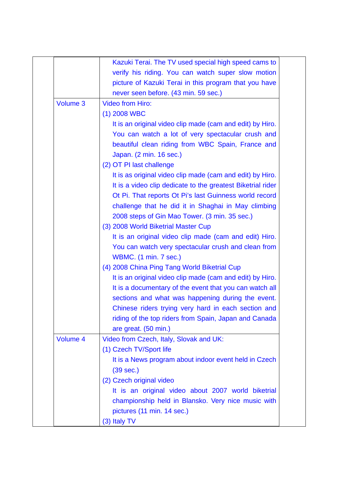|          | Kazuki Terai. The TV used special high speed cams to        |
|----------|-------------------------------------------------------------|
|          | verify his riding. You can watch super slow motion          |
|          | picture of Kazuki Terai in this program that you have       |
|          | never seen before. (43 min. 59 sec.)                        |
| Volume 3 | <b>Video from Hiro:</b>                                     |
|          | $(1)$ 2008 WBC                                              |
|          | It is an original video clip made (cam and edit) by Hiro.   |
|          | You can watch a lot of very spectacular crush and           |
|          | beautiful clean riding from WBC Spain, France and           |
|          | Japan. (2 min. 16 sec.)                                     |
|          | (2) OT PI last challenge                                    |
|          | It is as original video clip made (cam and edit) by Hiro.   |
|          | It is a video clip dedicate to the greatest Biketrial rider |
|          | Ot Pi. That reports Ot Pi's last Guinness world record      |
|          | challenge that he did it in Shaghai in May climbing         |
|          | 2008 steps of Gin Mao Tower. (3 min. 35 sec.)               |
|          | (3) 2008 World Biketrial Master Cup                         |
|          | It is an original video clip made (cam and edit) Hiro.      |
|          | You can watch very spectacular crush and clean from         |
|          | <b>WBMC.</b> (1 min. 7 sec.)                                |
|          | (4) 2008 China Ping Tang World Biketrial Cup                |
|          | It is an original video clip made (cam and edit) by Hiro.   |
|          | It is a documentary of the event that you can watch all     |
|          | sections and what was happening during the event.           |
|          | Chinese riders trying very hard in each section and         |
|          | riding of the top riders from Spain, Japan and Canada       |
|          | are great. (50 min.)                                        |
| Volume 4 | Video from Czech, Italy, Slovak and UK:                     |
|          | (1) Czech TV/Sport life                                     |
|          | It is a News program about indoor event held in Czech       |
|          | (39 sec.)                                                   |
|          | (2) Czech original video                                    |
|          | It is an original video about 2007 world biketrial          |
|          | championship held in Blansko. Very nice music with          |
|          | pictures (11 min. 14 sec.)                                  |
|          | (3) Italy TV                                                |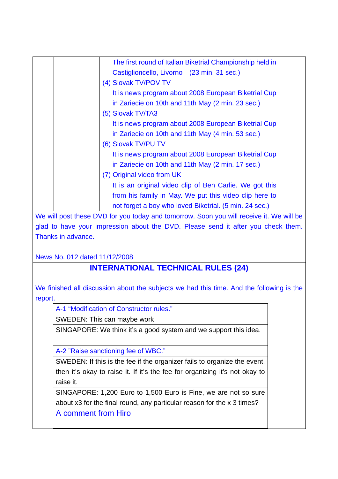| The first round of Italian Biketrial Championship held in |
|-----------------------------------------------------------|
| Castiglioncello, Livorno (23 min. 31 sec.)                |
| (4) Slovak TV/POV TV                                      |
| It is news program about 2008 European Biketrial Cup      |
| in Zariecie on 10th and 11th May (2 min. 23 sec.)         |
| (5) Slovak TV/TA3                                         |
| It is news program about 2008 European Biketrial Cup      |
| in Zariecie on 10th and 11th May (4 min. 53 sec.)         |
| (6) Slovak TV/PU TV                                       |
| It is news program about 2008 European Biketrial Cup      |
| in Zariecie on 10th and 11th May (2 min. 17 sec.)         |
| (7) Original video from UK                                |
| It is an original video clip of Ben Carlie. We got this   |
| from his family in May. We put this video clip here to    |
| not forget a boy who loved Biketrial. (5 min. 24 sec.)    |

We will post these DVD for you today and tomorrow. Soon you will receive it. We will be glad to have your impression about the DVD. Please send it after you check them. Thanks in advance.

News No. 012 dated 11/12/2008

# **INTERNATIONAL TECHNICAL RULES (24)**

We finished all discussion about the subjects we had this time. And the following is the report.

A-1 "Modification of Constructor rules."

SWEDEN: This can maybe work

SINGAPORE: We think it's a good system and we support this idea.

A-2 "Raise sanctioning fee of WBC."

SWEDEN: If this is the fee if the organizer fails to organize the event, then it's okay to raise it. If it's the fee for organizing it's not okay to raise it.

SINGAPORE: 1,200 Euro to 1,500 Euro is Fine, we are not so sure about x3 for the final round, any particular reason for the x 3 times?

A comment from Hiro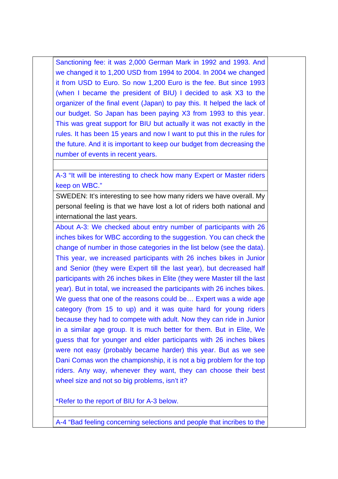Sanctioning fee: it was 2,000 German Mark in 1992 and 1993. And we changed it to 1,200 USD from 1994 to 2004. In 2004 we changed it from USD to Euro. So now 1,200 Euro is the fee. But since 1993 (when I became the president of BIU) I decided to ask X3 to the organizer of the final event (Japan) to pay this. It helped the lack of our budget. So Japan has been paying X3 from 1993 to this year. This was great support for BIU but actually it was not exactly in the rules. It has been 15 years and now I want to put this in the rules for the future. And it is important to keep our budget from decreasing the number of events in recent years.

A-3 "It will be interesting to check how many Expert or Master riders keep on WBC."

SWEDEN: It's interesting to see how many riders we have overall. My personal feeling is that we have lost a lot of riders both national and international the last years.

About A-3: We checked about entry number of participants with 26 inches bikes for WBC according to the suggestion. You can check the change of number in those categories in the list below (see the data). This year, we increased participants with 26 inches bikes in Junior and Senior (they were Expert till the last year), but decreased half participants with 26 inches bikes in Elite (they were Master till the last year). But in total, we increased the participants with 26 inches bikes. We guess that one of the reasons could be… Expert was a wide age category (from 15 to up) and it was quite hard for young riders because they had to compete with adult. Now they can ride in Junior in a similar age group. It is much better for them. But in Elite, We guess that for younger and elder participants with 26 inches bikes were not easy (probably became harder) this year. But as we see Dani Comas won the championship, it is not a big problem for the top riders. Any way, whenever they want, they can choose their best wheel size and not so big problems, isn't it?

\*Refer to the report of BIU for A-3 below.

A-4 "Bad feeling concerning selections and people that incribes to the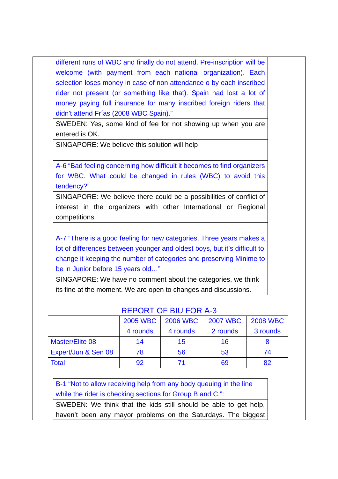different runs of WBC and finally do not attend. Pre-inscription will be welcome (with payment from each national organization). Each selection loses money in case of non attendance o by each inscribed rider not present (or something like that). Spain had lost a lot of money paying full insurance for many inscribed foreign riders that didn't attend Frías (2008 WBC Spain)."

SWEDEN: Yes, some kind of fee for not showing up when you are entered is OK.

SINGAPORE: We believe this solution will help

A-6 "Bad feeling concerning how difficult it becomes to find organizers for WBC. What could be changed in rules (WBC) to avoid this tendency?"

SINGAPORE: We believe there could be a possibilities of conflict of interest in the organizers with other International or Regional competitions.

A-7 "There is a good feeling for new categories. Three years makes a lot of differences between younger and oldest boys, but it's difficult to change it keeping the number of categories and preserving Minime to be in Junior before 15 years old…"

SINGAPORE: We have no comment about the categories, we think its fine at the moment. We are open to changes and discussions.

|                                | <b>2005 WBC</b> | <b>2006 WBC</b> | <b>2007 WBC</b> | <b>2008 WBC</b> |
|--------------------------------|-----------------|-----------------|-----------------|-----------------|
|                                | 4 rounds        | 4 rounds        | 2 rounds        | 3 rounds        |
| <b>Master/Elite 08</b>         | 14              | 15              | 16              |                 |
| <b>Expert/Jun &amp; Sen 08</b> | 78              | 56              | 53              | 74              |
| <b>Total</b>                   | 92              |                 | 69              | 82              |

#### REPORT OF BIU FOR A-3

B-1 "Not to allow receiving help from any body queuing in the line while the rider is checking sections for Group B and C.": SWEDEN: We think that the kids still should be able to get help, haven't been any mayor problems on the Saturdays. The biggest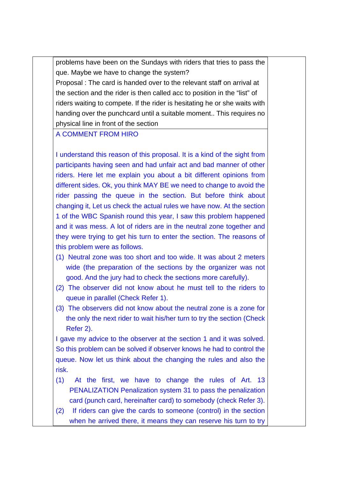problems have been on the Sundays with riders that tries to pass the que. Maybe we have to change the system? Proposal : The card is handed over to the relevant staff on arrival at the section and the rider is then called acc to position in the "list" of riders waiting to compete. If the rider is hesitating he or she waits with handing over the punchcard until a suitable moment.. This requires no physical line in front of the section

#### A COMMENT FROM HIRO

I understand this reason of this proposal. It is a kind of the sight from participants having seen and had unfair act and bad manner of other riders. Here let me explain you about a bit different opinions from different sides. Ok, you think MAY BE we need to change to avoid the rider passing the queue in the section. But before think about changing it, Let us check the actual rules we have now. At the section 1 of the WBC Spanish round this year, I saw this problem happened and it was mess. A lot of riders are in the neutral zone together and they were trying to get his turn to enter the section. The reasons of this problem were as follows.

- (1) Neutral zone was too short and too wide. It was about 2 meters wide (the preparation of the sections by the organizer was not good. And the jury had to check the sections more carefully).
- (2) The observer did not know about he must tell to the riders to queue in parallel (Check Refer 1).
- (3) The observers did not know about the neutral zone is a zone for the only the next rider to wait his/her turn to try the section (Check Refer 2).

I gave my advice to the observer at the section 1 and it was solved. So this problem can be solved if observer knows he had to control the queue. Now let us think about the changing the rules and also the risk.

- (1) At the first, we have to change the rules of Art. 13 PENALIZATION Penalization system 31 to pass the penalization card (punch card, hereinafter card) to somebody (check Refer 3).
- (2) If riders can give the cards to someone (control) in the section when he arrived there, it means they can reserve his turn to try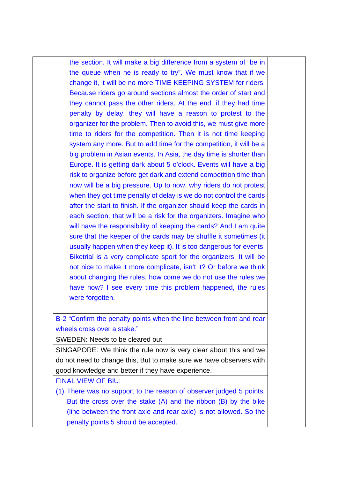the section. It will make a big difference from a system of "be in the queue when he is ready to try". We must know that if we change it, it will be no more TIME KEEPING SYSTEM for riders. Because riders go around sections almost the order of start and they cannot pass the other riders. At the end, if they had time penalty by delay, they will have a reason to protest to the organizer for the problem. Then to avoid this, we must give more time to riders for the competition. Then it is not time keeping system any more. But to add time for the competition, it will be a big problem in Asian events. In Asia, the day time is shorter than Europe. It is getting dark about 5 o'clock. Events will have a big risk to organize before get dark and extend competition time than now will be a big pressure. Up to now, why riders do not protest when they got time penalty of delay is we do not control the cards after the start to finish. If the organizer should keep the cards in each section, that will be a risk for the organizers. Imagine who will have the responsibility of keeping the cards? And I am quite sure that the keeper of the cards may be shuffle it sometimes (it usually happen when they keep it). It is too dangerous for events. Biketrial is a very complicate sport for the organizers. It will be not nice to make it more complicate, isn't it? Or before we think about changing the rules, how come we do not use the rules we have now? I see every time this problem happened, the rules were forgotten.

B-2 "Confirm the penalty points when the line between front and rear wheels cross over a stake."

SWEDEN: Needs to be cleared out

SINGAPORE: We think the rule now is very clear about this and we do not need to change this, But to make sure we have observers with good knowledge and better if they have experience.

FINAL VIEW OF BIU:

(1) There was no support to the reason of observer judged 5 points. But the cross over the stake (A) and the ribbon (B) by the bike (line between the front axle and rear axle) is not allowed. So the penalty points 5 should be accepted.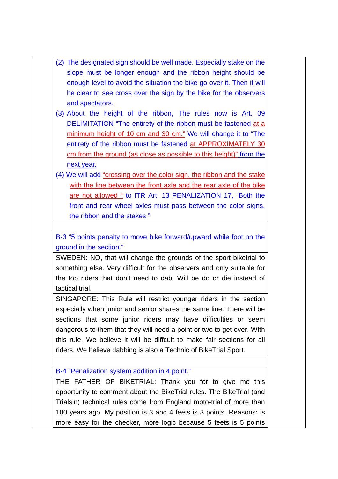- (2) The designated sign should be well made. Especially stake on the slope must be longer enough and the ribbon height should be enough level to avoid the situation the bike go over it. Then it will be clear to see cross over the sign by the bike for the observers and spectators.
- (3) About the height of the ribbon, The rules now is Art. 09 DELIMITATION "The entirety of the ribbon must be fastened at a minimum height of 10 cm and 30 cm." We will change it to "The entirety of the ribbon must be fastened at APPROXIMATELY 30 cm from the ground (as close as possible to this height)" from the next year.
- (4) We will add "crossing over the color sign, the ribbon and the stake with the line between the front axle and the rear axle of the bike are not allowed " to ITR Art. 13 PENALIZATION 17, "Both the front and rear wheel axles must pass between the color signs, the ribbon and the stakes."

B-3 "5 points penalty to move bike forward/upward while foot on the ground in the section."

SWEDEN: NO, that will change the grounds of the sport biketrial to something else. Very difficult for the observers and only suitable for the top riders that don't need to dab. Will be do or die instead of tactical trial.

SINGAPORE: This Rule will restrict younger riders in the section especially when junior and senior shares the same line. There will be sections that some junior riders may have difficulties or seem dangerous to them that they will need a point or two to get over. WIth this rule, We believe it will be diffcult to make fair sections for all riders. We believe dabbing is also a Technic of BikeTrial Sport.

B-4 "Penalization system addition in 4 point."

THE FATHER OF BIKETRIAL: Thank you for to give me this opportunity to comment about the BikeTrial rules. The BikeTrial (and Trialsin) technical rules come from England moto-trial of more than 100 years ago. My position is 3 and 4 feets is 3 points. Reasons: is more easy for the checker, more logic because 5 feets is 5 points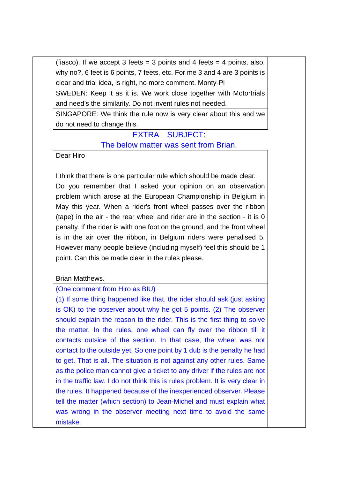(fiasco). If we accept 3 feets = 3 points and 4 feets = 4 points, also, why no?, 6 feet is 6 points, 7 feets, etc. For me 3 and 4 are 3 points is clear and trial idea, is right, no more comment. Monty-Pi

SWEDEN: Keep it as it is. We work close together with Motortrials and need's the similarity. Do not invent rules not needed.

SINGAPORE: We think the rule now is very clear about this and we do not need to change this.

## EXTRA SUBJECT: The below matter was sent from Brian.

Dear Hiro

I think that there is one particular rule which should be made clear. Do you remember that I asked your opinion on an observation problem which arose at the European Championship in Belgium in May this year. When a rider's front wheel passes over the ribbon (tape) in the air - the rear wheel and rider are in the section - it is 0 penalty. If the rider is with one foot on the ground, and the front wheel is in the air over the ribbon, in Belgium riders were penalised 5. However many people believe (including myself) feel this should be 1 point. Can this be made clear in the rules please.

### Brian Matthews.

### (One comment from Hiro as BIU)

(1) If some thing happened like that, the rider should ask (just asking is OK) to the observer about why he got 5 points. (2) The observer should explain the reason to the rider. This is the first thing to solve the matter. In the rules, one wheel can fly over the ribbon till it contacts outside of the section. In that case, the wheel was not contact to the outside yet. So one point by 1 dub is the penalty he had to get. That is all. The situation is not against any other rules. Same as the police man cannot give a ticket to any driver if the rules are not in the traffic law. I do not think this is rules problem. It is very clear in the rules. It happened because of the inexperienced observer. Please tell the matter (which section) to Jean-Michel and must explain what was wrong in the observer meeting next time to avoid the same mistake.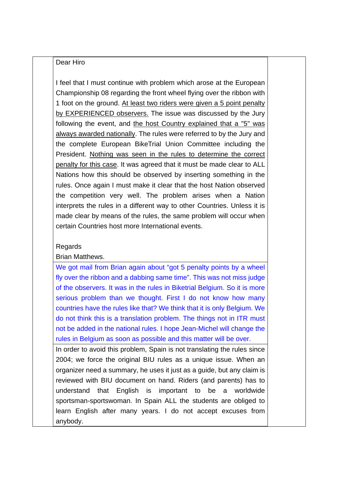#### Dear Hiro

I feel that I must continue with problem which arose at the European Championship 08 regarding the front wheel flying over the ribbon with 1 foot on the ground. At least two riders were given a 5 point penalty by EXPERIENCED observers. The issue was discussed by the Jury following the event, and the host Country explained that a "5" was always awarded nationally. The rules were referred to by the Jury and the complete European BikeTrial Union Committee including the President. Nothing was seen in the rules to determine the correct penalty for this case. It was agreed that it must be made clear to ALL Nations how this should be observed by inserting something in the rules. Once again I must make it clear that the host Nation observed the competition very well. The problem arises when a Nation interprets the rules in a different way to other Countries. Unless it is made clear by means of the rules, the same problem will occur when certain Countries host more International events.

#### Regards

Brian Matthews.

We got mail from Brian again about "got 5 penalty points by a wheel fly over the ribbon and a dabbing same time". This was not miss judge of the observers. It was in the rules in Biketrial Belgium. So it is more serious problem than we thought. First I do not know how many countries have the rules like that? We think that it is only Belgium. We do not think this is a translation problem. The things not in ITR must not be added in the national rules. I hope Jean-Michel will change the rules in Belgium as soon as possible and this matter will be over.

In order to avoid this problem, Spain is not translating the rules since 2004; we force the original BIU rules as a unique issue. When an organizer need a summary, he uses it just as a guide, but any claim is reviewed with BIU document on hand. Riders (and parents) has to understand that English is important to be a worldwide sportsman-sportswoman. In Spain ALL the students are obliged to learn English after many years. I do not accept excuses from anybody.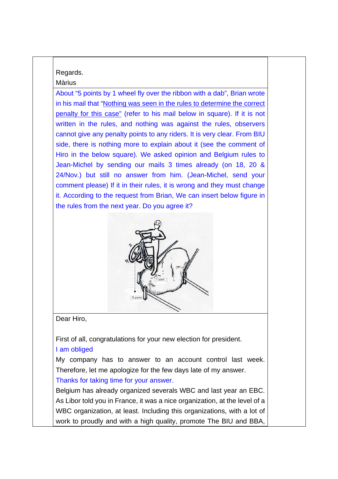## Regards. Màrius

About "5 points by 1 wheel fly over the ribbon with a dab", Brian wrote in his mail that "Nothing was seen in the rules to determine the correct penalty for this case" (refer to his mail below in square). If it is not written in the rules, and nothing was against the rules, observers cannot give any penalty points to any riders. It is very clear. From BIU side, there is nothing more to explain about it (see the comment of Hiro in the below square). We asked opinion and Belgium rules to Jean-Michel by sending our mails 3 times already (on 18, 20 & 24/Nov.) but still no answer from him. (Jean-Michel, send your comment please) If it in their rules, it is wrong and they must change it. According to the request from Brian, We can insert below figure in the rules from the next year. Do you agree it?



Dear Hiro,

First of all, congratulations for your new election for president. I am obliged

My company has to answer to an account control last week. Therefore, let me apologize for the few days late of my answer. Thanks for taking time for your answer.

Belgium has already organized severals WBC and last year an EBC. As Libor told you in France, it was a nice organization, at the level of a WBC organization, at least. Including this organizations, with a lot of work to proudly and with a high quality, promote The BIU and BBA,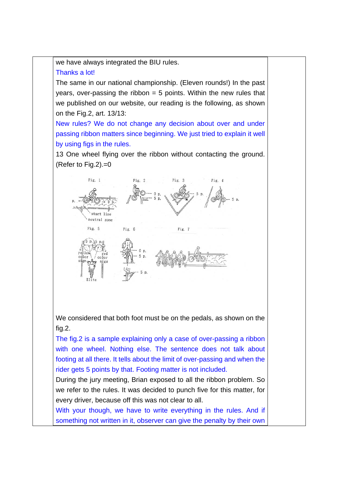we have always integrated the BIU rules.

## Thanks a lot!

The same in our national championship. (Eleven rounds!) In the past years, over-passing the ribbon  $= 5$  points. Within the new rules that we published on our website, our reading is the following, as shown on the Fig.2, art. 13/13:

New rules? We do not change any decision about over and under passing ribbon matters since beginning. We just tried to explain it well by using figs in the rules.

13 One wheel flying over the ribbon without contacting the ground. (Refer to Fig.2).=0



We considered that both foot must be on the pedals, as shown on the fig.2.

The fig.2 is a sample explaining only a case of over-passing a ribbon with one wheel. Nothing else. The sentence does not talk about footing at all there. It tells about the limit of over-passing and when the rider gets 5 points by that. Footing matter is not included.

During the jury meeting, Brian exposed to all the ribbon problem. So we refer to the rules. It was decided to punch five for this matter, for every driver, because off this was not clear to all.

With your though, we have to write everything in the rules. And if something not written in it, observer can give the penalty by their own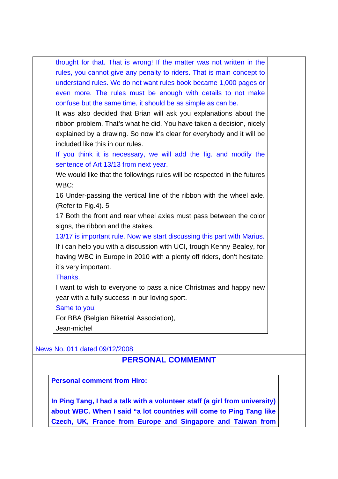thought for that. That is wrong! If the matter was not written in the rules, you cannot give any penalty to riders. That is main concept to understand rules. We do not want rules book became 1,000 pages or even more. The rules must be enough with details to not make confuse but the same time, it should be as simple as can be.

It was also decided that Brian will ask you explanations about the ribbon problem. That's what he did. You have taken a decision, nicely explained by a drawing. So now it's clear for everybody and it will be included like this in our rules.

If you think it is necessary, we will add the fig. and modify the sentence of Art 13/13 from next year.

We would like that the followings rules will be respected in the futures WBC:

16 Under-passing the vertical line of the ribbon with the wheel axle. (Refer to Fig.4). 5

17 Both the front and rear wheel axles must pass between the color signs, the ribbon and the stakes.

13/17 is important rule. Now we start discussing this part with Marius. If i can help you with a discussion with UCI, trough Kenny Bealey, for having WBC in Europe in 2010 with a plenty off riders, don't hesitate, it's very important.

### Thanks.

I want to wish to everyone to pass a nice Christmas and happy new year with a fully success in our loving sport.

### Same to you!

For BBA (Belgian Biketrial Association), Jean-michel

News No. 011 dated 09/12/2008

## **PERSONAL COMMEMNT**

**Personal comment from Hiro:** 

**In Ping Tang, I had a talk with a volunteer staff (a girl from university) about WBC. When I said "a lot countries will come to Ping Tang like Czech, UK, France from Europe and Singapore and Taiwan from**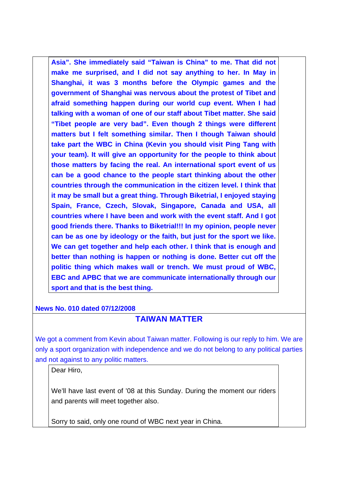**Asia". She immediately said "Taiwan is China" to me. That did not make me surprised, and I did not say anything to her. In May in Shanghai, it was 3 months before the Olympic games and the government of Shanghai was nervous about the protest of Tibet and afraid something happen during our world cup event. When I had talking with a woman of one of our staff about Tibet matter. She said "Tibet people are very bad". Even though 2 things were different matters but I felt something similar. Then I though Taiwan should take part the WBC in China (Kevin you should visit Ping Tang with your team). It will give an opportunity for the people to think about those matters by facing the real. An international sport event of us can be a good chance to the people start thinking about the other countries through the communication in the citizen level. I think that it may be small but a great thing. Through Biketrial, I enjoyed staying Spain, France, Czech, Slovak, Singapore, Canada and USA, all countries where I have been and work with the event staff. And I got good friends there. Thanks to Biketrial!!! In my opinion, people never can be as one by ideology or the faith, but just for the sport we like. We can get together and help each other. I think that is enough and better than nothing is happen or nothing is done. Better cut off the politic thing which makes wall or trench. We must proud of WBC, EBC and APBC that we are communicate internationally through our sport and that is the best thing.** 

**News No. 010 dated 07/12/2008**

# **TAIWAN MATTER**

We got a comment from Kevin about Taiwan matter. Following is our reply to him. We are only a sport organization with independence and we do not belong to any political parties and not against to any politic matters.

Dear Hiro,

We'll have last event of '08 at this Sunday. During the moment our riders and parents will meet together also.

Sorry to said, only one round of WBC next year in China.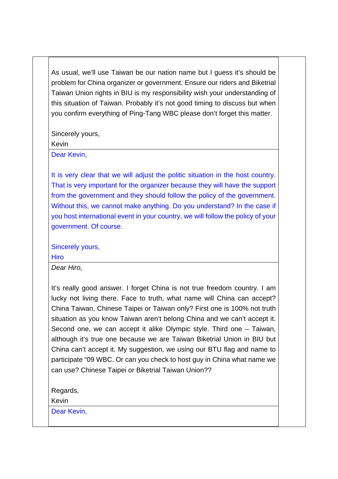As usual, we'll use Taiwan be our nation name but I guess it's should be problem for China organizer or government. Ensure our riders and Biketrial Taiwan Union rights in BIU is my responsibility wish your understanding of this situation of Taiwan. Probably it's not good timing to discuss but when you confirm everything of Ping-Tang WBC please don't forget this matter.

Sincerely yours,

Kevin

Dear Kevin,

It is very clear that we will adjust the politic situation in the host country. That is very important for the organizer because they will have the support from the government and they should follow the policy of the government. Without this, we cannot make anything. Do you understand? In the case if you host international event in your country, we will follow the policy of your government. Of course.

Sincerely yours,

**Hiro** 

*Dear Hiro,* 

It's really good answer. I forget China is not true freedom country. I am lucky not living there. Face to truth, what name will China can accept? China Taiwan, Chinese Taipei or Taiwan only? First one is 100% not truth situation as you know Taiwan aren't belong China and we can't accept it. Second one, we can accept it alike Olympic style. Third one – Taiwan, although it's true one because we are Taiwan Biketrial Union in BIU but China can't accept it. My suggestion, we using our BTU flag and name to participate "09 WBC. Or can you check to host guy in China what name we can use? Chinese Taipei or Biketrial Taiwan Union??

Regards,

Kevin

Dear Kevin,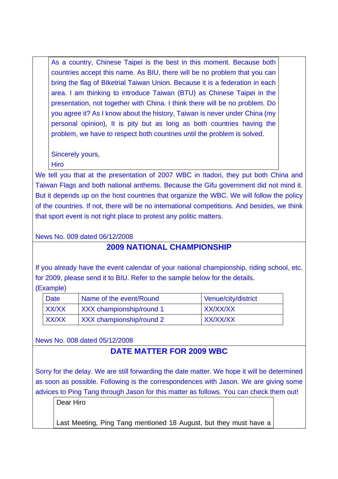As a country, Chinese Taipei is the best in this moment. Because both countries accept this name. As BIU, there will be no problem that you can bring the flag of BIketrial Taiwan Union. Because it is a federation in each area. I am thinking to introduce Taiwan (BTU) as Chinese Taipei in the presentation, not together with China. I think there will be no problem. Do you agree it? As I know about the history, Taiwan is never under China (my personal opinion), It is pity but as long as both countries having the problem, we have to respect both countries until the problem is solved.

Sincerely yours, **Hiro** 

We tell you that at the presentation of 2007 WBC in Itadori, they put both China and Taiwan Flags and both national anthems. Because the Gifu government did not mind it. But it depends up on the host countries that organize the WBC. We will follow the policy of the countries. If not, there will be no international competitions. And besides, we think that sport event is not right place to protest any politic matters.

News No. 009 dated 06/12/2008

# **2009 NATIONAL CHAMPIONSHIP**

If you already have the event calendar of your national championship, riding school, etc. for 2009, please send it to BIU. Refer to the sample below for the details.

(Example)

| <b>Date</b> | Name of the event/Round         | Venue/city/district |
|-------------|---------------------------------|---------------------|
| XX/XX       | <b>XXX</b> championship/round 1 | XX/XX/XX            |
| XX/XX       | <b>XXX</b> championship/round 2 | XX/XX/XX            |

News No. 008 dated 05/12/2008

## **DATE MATTER FOR 2009 WBC**

Sorry for the delay. We are still forwarding the date matter. We hope it will be determined as soon as possible. Following is the correspondences with Jason. We are giving some advices to Ping Tang through Jason for this matter as follows. You can check them out!

Dear Hiro

Last Meeting, Ping Tang mentioned 18 August, but they must have a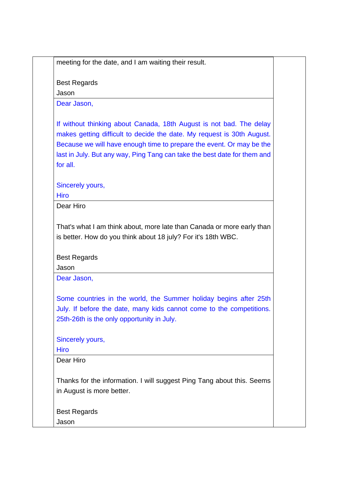meeting for the date, and I am waiting their result.

Best Regards

Jason

Dear Jason,

If without thinking about Canada, 18th August is not bad. The delay makes getting difficult to decide the date. My request is 30th August. Because we will have enough time to prepare the event. Or may be the last in July. But any way, Ping Tang can take the best date for them and for all.

Sincerely yours,

**Hiro** 

Dear Hiro

That's what I am think about, more late than Canada or more early than is better. How do you think about 18 july? For it's 18th WBC.

Best Regards

Jason

Dear Jason,

Some countries in the world, the Summer holiday begins after 25th July. If before the date, many kids cannot come to the competitions. 25th-26th is the only opportunity in July.

Sincerely yours,

**Hiro** 

Dear Hiro

Thanks for the information. I will suggest Ping Tang about this. Seems in August is more better.

Best Regards

Jason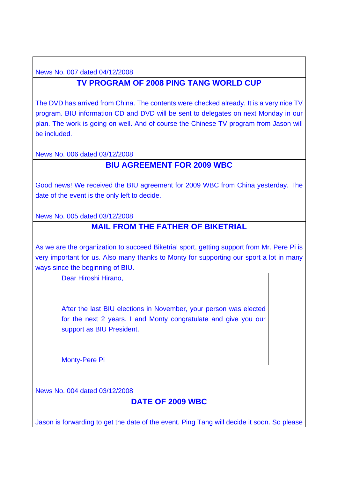News No. 007 dated 04/12/2008

# **TV PROGRAM OF 2008 PING TANG WORLD CUP**

The DVD has arrived from China. The contents were checked already. It is a very nice TV program. BIU information CD and DVD will be sent to delegates on next Monday in our plan. The work is going on well. And of course the Chinese TV program from Jason will be included.

News No. 006 dated 03/12/2008

## **BIU AGREEMENT FOR 2009 WBC**

Good news! We received the BIU agreement for 2009 WBC from China yesterday. The date of the event is the only left to decide.

News No. 005 dated 03/12/2008

## **MAIL FROM THE FATHER OF BIKETRIAL**

As we are the organization to succeed Biketrial sport, getting support from Mr. Pere Pi is very important for us. Also many thanks to Monty for supporting our sport a lot in many ways since the beginning of BIU.

Dear Hiroshi Hirano,

After the last BIU elections in November, your person was elected for the next 2 years. I and Monty congratulate and give you our support as BIU President.

Monty-Pere Pi

News No. 004 dated 03/12/2008

# **DATE OF 2009 WBC**

Jason is forwarding to get the date of the event. Ping Tang will decide it soon. So please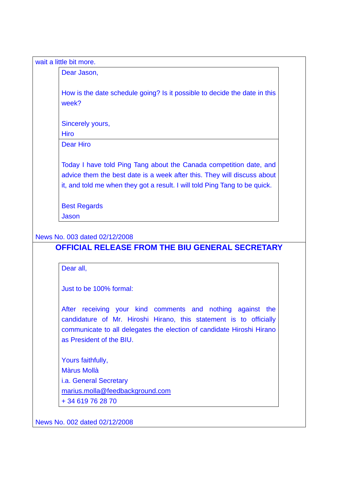| Dear Jason,                                                                                                                                   |
|-----------------------------------------------------------------------------------------------------------------------------------------------|
| How is the date schedule going? Is it possible to decide the date in this<br>week?                                                            |
| Sincerely yours,                                                                                                                              |
| <b>Hiro</b>                                                                                                                                   |
| <b>Dear Hiro</b>                                                                                                                              |
| Today I have told Ping Tang about the Canada competition date, and<br>advice them the best date is a week after this. They will discuss about |
| it, and told me when they got a result. I will told Ping Tang to be quick.                                                                    |
| <b>Best Regards</b>                                                                                                                           |
| <b>Jason</b>                                                                                                                                  |

Dear all,

Just to be 100% formal:

After receiving your kind comments and nothing against the candidature of Mr. Hiroshi Hirano, this statement is to officially communicate to all delegates the election of candidate Hiroshi Hirano as President of the BIU.

Yours faithfully, Màrus Mollà i.a. General Secretary marius.molla@feedbackground.com + 34 619 76 28 70

News No. 002 dated 02/12/2008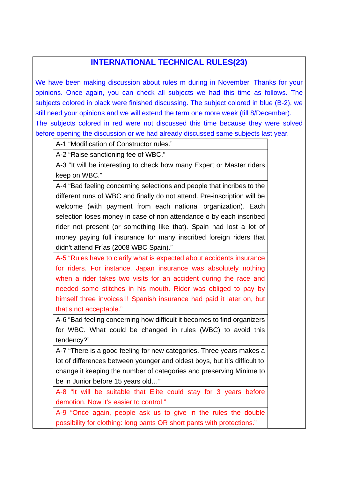## **INTERNATIONAL TECHNICAL RULES(23)**

We have been making discussion about rules m during in November. Thanks for your opinions. Once again, you can check all subjects we had this time as follows. The subjects colored in black were finished discussing. The subject colored in blue (B-2), we still need your opinions and we will extend the term one more week (till 8/December). The subjects colored in red were not discussed this time because they were solved before opening the discussion or we had already discussed same subjects last year.

A-1 "Modification of Constructor rules."

A-2 "Raise sanctioning fee of WBC."

A-3 "It will be interesting to check how many Expert or Master riders keep on WBC."

A-4 "Bad feeling concerning selections and people that incribes to the different runs of WBC and finally do not attend. Pre-inscription will be welcome (with payment from each national organization). Each selection loses money in case of non attendance o by each inscribed rider not present (or something like that). Spain had lost a lot of money paying full insurance for many inscribed foreign riders that didn't attend Frías (2008 WBC Spain)."

A-5 "Rules have to clarify what is expected about accidents insurance for riders. For instance, Japan insurance was absolutely nothing when a rider takes two visits for an accident during the race and needed some stitches in his mouth. Rider was obliged to pay by himself three invoices!!! Spanish insurance had paid it later on, but that's not acceptable."

A-6 "Bad feeling concerning how difficult it becomes to find organizers for WBC. What could be changed in rules (WBC) to avoid this tendency?"

A-7 "There is a good feeling for new categories. Three years makes a lot of differences between younger and oldest boys, but it's difficult to change it keeping the number of categories and preserving Minime to be in Junior before 15 years old…"

A-8 "It will be suitable that Elite could stay for 3 years before demotion. Now it's easier to control."

A-9 "Once again, people ask us to give in the rules the double possibility for clothing: long pants OR short pants with protections."